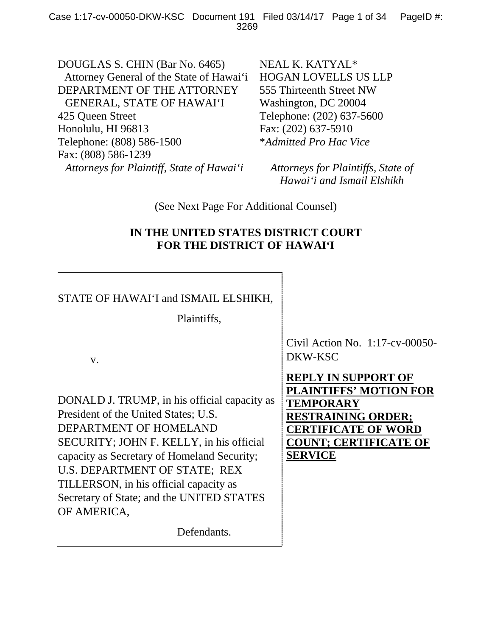DOUGLAS S. CHIN (Bar No. 6465) Attorney General of the State of Hawai'i DEPARTMENT OF THE ATTORNEY GENERAL, STATE OF HAWAI'I 425 Queen Street Honolulu, HI 96813 Telephone: (808) 586-1500 Fax: (808) 586-1239 *Attorneys for Plaintiff, State of Hawai'i*

NEAL K. KATYAL\* HOGAN LOVELLS US LLP 555 Thirteenth Street NW Washington, DC 20004 Telephone: (202) 637-5600 Fax: (202) 637-5910 \**Admitted Pro Hac Vice*

*Attorneys for Plaintiffs, State of Hawai'i and Ismail Elshikh*

(See Next Page For Additional Counsel)

## **IN THE UNITED STATES DISTRICT COURT FOR THE DISTRICT OF HAWAI'I**

| STATE OF HAWAI'I and ISMAIL ELSHIKH,<br>Plaintiffs,                                                                                                                                                                                                                                                                                              |                                                                                                                                                         |
|--------------------------------------------------------------------------------------------------------------------------------------------------------------------------------------------------------------------------------------------------------------------------------------------------------------------------------------------------|---------------------------------------------------------------------------------------------------------------------------------------------------------|
| V.                                                                                                                                                                                                                                                                                                                                               | Civil Action No. $1:17$ -cv-00050-<br>DKW-KSC<br>REPLY IN SUPPORT OF                                                                                    |
| DONALD J. TRUMP, in his official capacity as<br>President of the United States; U.S.<br>DEPARTMENT OF HOMELAND<br>SECURITY; JOHN F. KELLY, in his official<br>capacity as Secretary of Homeland Security;<br>U.S. DEPARTMENT OF STATE; REX<br>TILLERSON, in his official capacity as<br>Secretary of State; and the UNITED STATES<br>OF AMERICA, | PLAINTIFFS' MOTION FOR<br><b>TEMPORARY</b><br><b>RESTRAINING ORDER;</b><br><b>CERTIFICATE OF WORD</b><br><b>COUNT; CERTIFICATE OF</b><br><b>SERVICE</b> |
| Defendants.                                                                                                                                                                                                                                                                                                                                      |                                                                                                                                                         |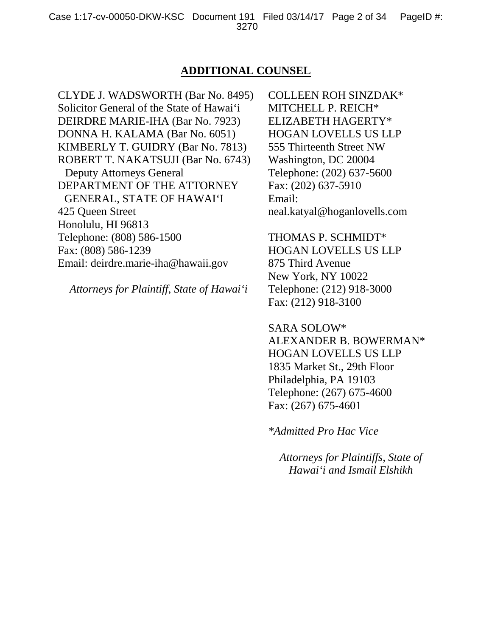### **ADDITIONAL COUNSEL**

CLYDE J. WADSWORTH (Bar No. 8495) Solicitor General of the State of Hawai'i DEIRDRE MARIE-IHA (Bar No. 7923) DONNA H. KALAMA (Bar No. 6051) KIMBERLY T. GUIDRY (Bar No. 7813) ROBERT T. NAKATSUJI (Bar No. 6743) Deputy Attorneys General DEPARTMENT OF THE ATTORNEY GENERAL, STATE OF HAWAI'I 425 Queen Street Honolulu, HI 96813 Telephone: (808) 586-1500 Fax: (808) 586-1239 Email: deirdre.marie-iha@hawaii.gov

*Attorneys for Plaintiff, State of Hawai'i*

COLLEEN ROH SINZDAK\* MITCHELL P. REICH\* ELIZABETH HAGERTY\* HOGAN LOVELLS US LLP 555 Thirteenth Street NW Washington, DC 20004 Telephone: (202) 637-5600 Fax: (202) 637-5910 Email: neal.katyal@hoganlovells.com

THOMAS P. SCHMIDT\* HOGAN LOVELLS US LLP 875 Third Avenue New York, NY 10022 Telephone: (212) 918-3000 Fax: (212) 918-3100

SARA SOLOW\* ALEXANDER B. BOWERMAN\* HOGAN LOVELLS US LLP 1835 Market St., 29th Floor Philadelphia, PA 19103 Telephone: (267) 675-4600 Fax: (267) 675-4601

*\*Admitted Pro Hac Vice*

*Attorneys for Plaintiffs, State of Hawai'i and Ismail Elshikh*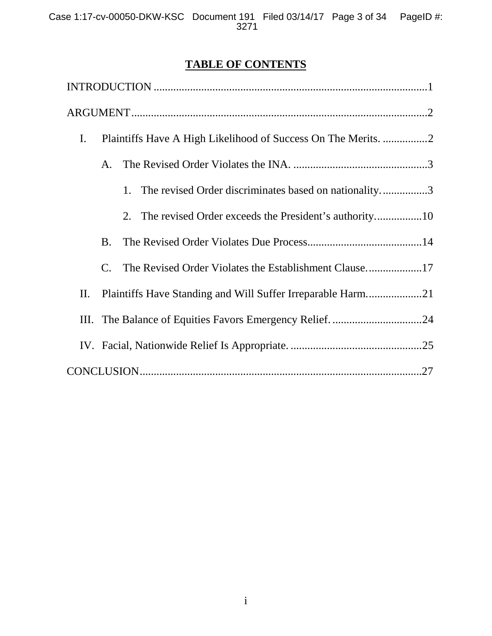# **TABLE OF CONTENTS**

| $\mathbf{I}$ . |                |                                                             |  |
|----------------|----------------|-------------------------------------------------------------|--|
|                | A.             |                                                             |  |
|                |                | The revised Order discriminates based on nationality3<br>1. |  |
|                |                | 2.                                                          |  |
|                | <b>B.</b>      |                                                             |  |
|                | $\mathbf{C}$ . | The Revised Order Violates the Establishment Clause17       |  |
| П.             |                | Plaintiffs Have Standing and Will Suffer Irreparable Harm21 |  |
|                |                | III. The Balance of Equities Favors Emergency Relief. 24    |  |
|                |                |                                                             |  |
|                |                |                                                             |  |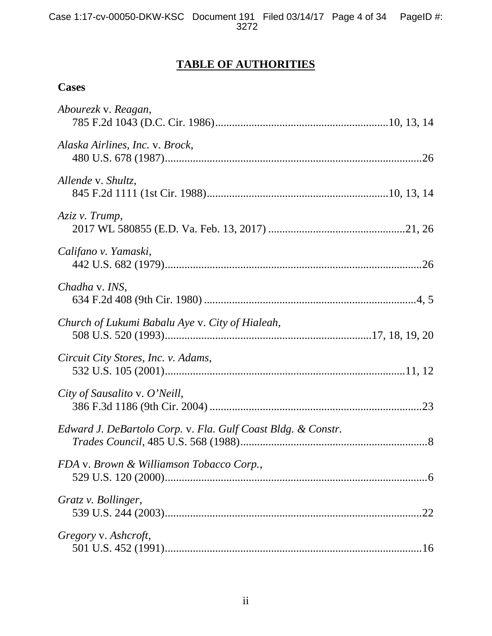# **TABLE OF AUTHORITIES**

# **Cases**

| Abourezk v. Reagan,                                          |
|--------------------------------------------------------------|
| Alaska Airlines, Inc. v. Brock,                              |
| Allende v. Shultz,                                           |
| Aziz v. Trump,                                               |
| Califano v. Yamaski,                                         |
| Chadha v. INS,                                               |
| Church of Lukumi Babalu Aye v. City of Hialeah,              |
| Circuit City Stores, Inc. v. Adams,                          |
| City of Sausalito v. O'Neill,                                |
| Edward J. DeBartolo Corp. v. Fla. Gulf Coast Bldg. & Constr. |
| FDA v. Brown & Williamson Tobacco Corp.,                     |
| Gratz v. Bollinger,                                          |
| Gregory v. Ashcroft,                                         |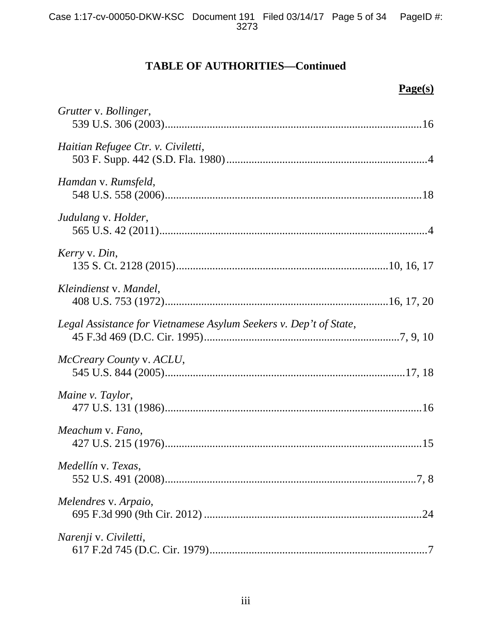# **TABLE OF AUTHORITIES—Continued**

**Page(s)**

| Grutter v. Bollinger,                                             |
|-------------------------------------------------------------------|
| Haitian Refugee Ctr. v. Civiletti,                                |
| Hamdan v. Rumsfeld,                                               |
| Judulang v. Holder,                                               |
| Kerry v. Din,                                                     |
| Kleindienst v. Mandel,                                            |
| Legal Assistance for Vietnamese Asylum Seekers v. Dep't of State, |
| McCreary County v. ACLU,                                          |
| Maine v. Taylor,                                                  |
| Meachum v. Fano,                                                  |
| Medellín v. Texas,                                                |
| Melendres v. Arpaio,                                              |
| Narenji v. Civiletti,                                             |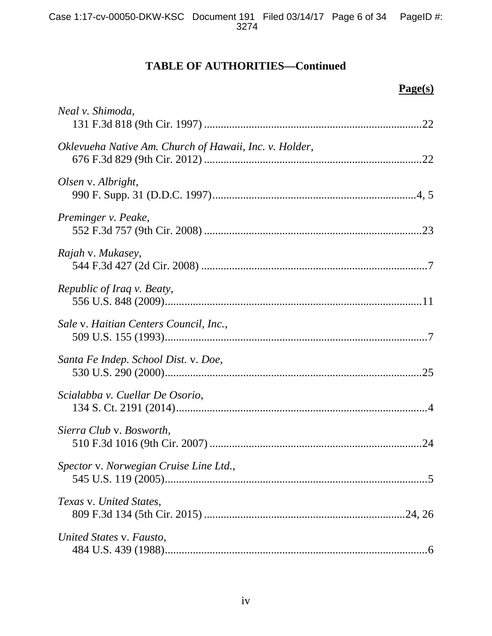# **TABLE OF AUTHORITIES—Continued**

**Page(s)**

| Neal v. Shimoda,                                       |
|--------------------------------------------------------|
| Oklevueha Native Am. Church of Hawaii, Inc. v. Holder, |
| Olsen v. Albright,                                     |
| Preminger v. Peake,                                    |
| Rajah v. Mukasey,                                      |
| Republic of Iraq v. Beaty,                             |
| Sale v. Haitian Centers Council, Inc.,                 |
| Santa Fe Indep. School Dist. v. Doe,                   |
| Scialabba v. Cuellar De Osorio,                        |
| Sierra Club v. Bosworth,                               |
| Spector v. Norwegian Cruise Line Ltd.,                 |
| Texas v. United States,                                |
| United States v. Fausto,                               |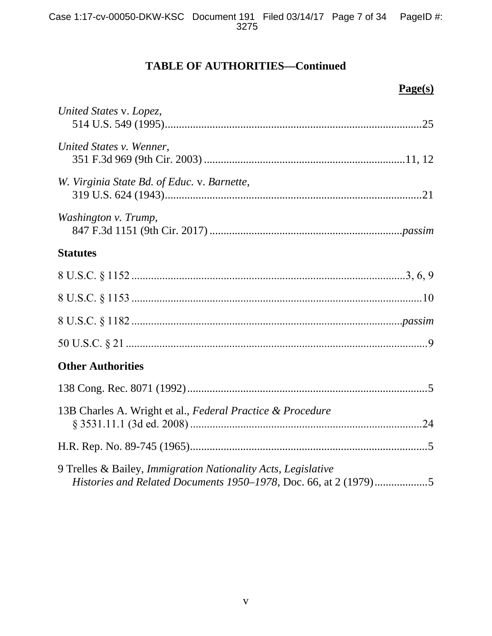# **TABLE OF AUTHORITIES—Continued**

| Page(s)                                                       |
|---------------------------------------------------------------|
| United States v. Lopez,                                       |
| United States v. Wenner,                                      |
| W. Virginia State Bd. of Educ. v. Barnette,                   |
| Washington v. Trump,                                          |
| <b>Statutes</b>                                               |
|                                                               |
|                                                               |
|                                                               |
|                                                               |
| <b>Other Authorities</b>                                      |
|                                                               |
| 13B Charles A. Wright et al., Federal Practice & Procedure    |
|                                                               |
| 9 Trelles & Bailey, Immigration Nationality Acts, Legislative |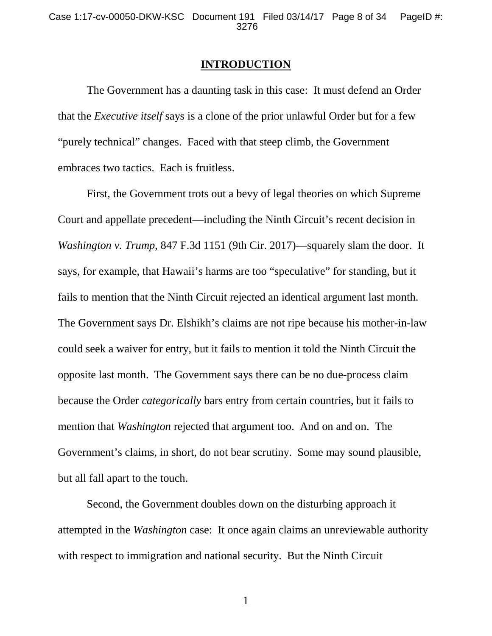#### **INTRODUCTION**

The Government has a daunting task in this case: It must defend an Order that the *Executive itself* says is a clone of the prior unlawful Order but for a few "purely technical" changes. Faced with that steep climb, the Government embraces two tactics. Each is fruitless.

First, the Government trots out a bevy of legal theories on which Supreme Court and appellate precedent—including the Ninth Circuit's recent decision in *Washington v. Trump*, 847 F.3d 1151 (9th Cir. 2017)—squarely slam the door. It says, for example, that Hawaii's harms are too "speculative" for standing, but it fails to mention that the Ninth Circuit rejected an identical argument last month. The Government says Dr. Elshikh's claims are not ripe because his mother-in-law could seek a waiver for entry, but it fails to mention it told the Ninth Circuit the opposite last month. The Government says there can be no due-process claim because the Order *categorically* bars entry from certain countries, but it fails to mention that *Washington* rejected that argument too. And on and on. The Government's claims, in short, do not bear scrutiny. Some may sound plausible, but all fall apart to the touch.

Second, the Government doubles down on the disturbing approach it attempted in the *Washington* case: It once again claims an unreviewable authority with respect to immigration and national security. But the Ninth Circuit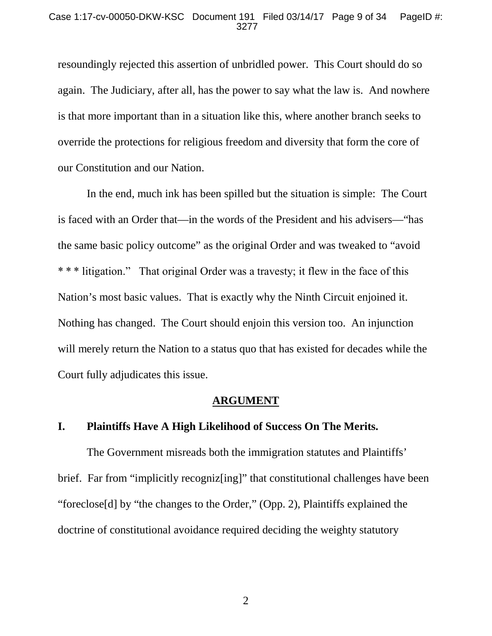resoundingly rejected this assertion of unbridled power. This Court should do so again. The Judiciary, after all, has the power to say what the law is. And nowhere is that more important than in a situation like this, where another branch seeks to override the protections for religious freedom and diversity that form the core of our Constitution and our Nation.

In the end, much ink has been spilled but the situation is simple: The Court is faced with an Order that—in the words of the President and his advisers—"has the same basic policy outcome" as the original Order and was tweaked to "avoid \* \* \* litigation." That original Order was a travesty; it flew in the face of this Nation's most basic values. That is exactly why the Ninth Circuit enjoined it. Nothing has changed. The Court should enjoin this version too. An injunction will merely return the Nation to a status quo that has existed for decades while the Court fully adjudicates this issue.

### **ARGUMENT**

### **I. Plaintiffs Have A High Likelihood of Success On The Merits.**

The Government misreads both the immigration statutes and Plaintiffs' brief. Far from "implicitly recogniz[ing]" that constitutional challenges have been "foreclose[d] by "the changes to the Order," (Opp. 2), Plaintiffs explained the doctrine of constitutional avoidance required deciding the weighty statutory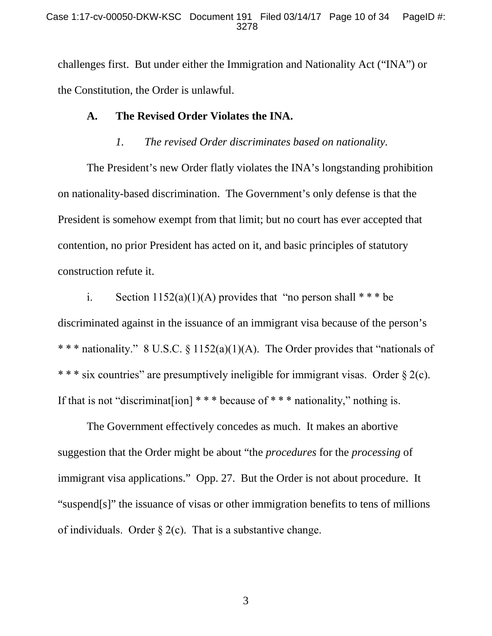challenges first. But under either the Immigration and Nationality Act ("INA") or the Constitution, the Order is unlawful.

## **A. The Revised Order Violates the INA.**

### *1. The revised Order discriminates based on nationality.*

The President's new Order flatly violates the INA's longstanding prohibition on nationality-based discrimination. The Government's only defense is that the President is somehow exempt from that limit; but no court has ever accepted that contention, no prior President has acted on it, and basic principles of statutory construction refute it.

i. Section  $1152(a)(1)(A)$  provides that "no person shall  $***$  be discriminated against in the issuance of an immigrant visa because of the person's \* \* \* nationality." 8 U.S.C. § 1152(a)(1)(A). The Order provides that "nationals of \* \* \* six countries" are presumptively ineligible for immigrant visas. Order § 2(c). If that is not "discriminaterial"  $**$  \* because of \*\*\* nationality," nothing is.

The Government effectively concedes as much. It makes an abortive suggestion that the Order might be about "the *procedures* for the *processing* of immigrant visa applications." Opp. 27. But the Order is not about procedure. It "suspend[s]" the issuance of visas or other immigration benefits to tens of millions of individuals. Order  $\S 2(c)$ . That is a substantive change.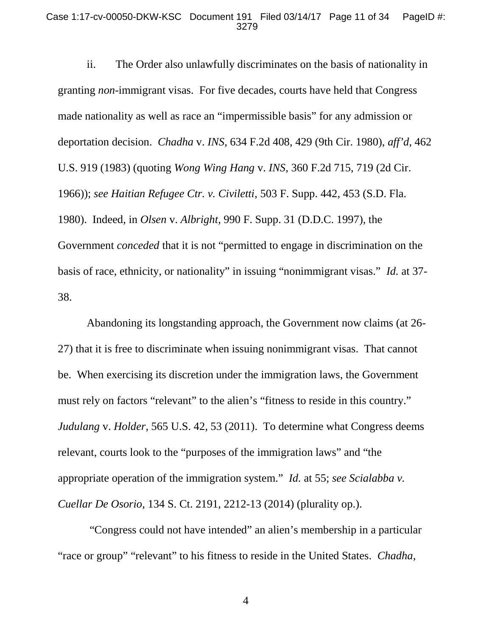ii. The Order also unlawfully discriminates on the basis of nationality in granting *non*-immigrant visas. For five decades, courts have held that Congress made nationality as well as race an "impermissible basis" for any admission or deportation decision. *Chadha* v. *INS*, 634 F.2d 408, 429 (9th Cir. 1980), *aff'd*, 462 U.S. 919 (1983) (quoting *Wong Wing Hang* v. *INS*, 360 F.2d 715, 719 (2d Cir. 1966)); *see Haitian Refugee Ctr. v. Civiletti*, 503 F. Supp. 442, 453 (S.D. Fla. 1980). Indeed, in *Olsen* v. *Albright*, 990 F. Supp. 31 (D.D.C. 1997), the Government *conceded* that it is not "permitted to engage in discrimination on the basis of race, ethnicity, or nationality" in issuing "nonimmigrant visas." *Id.* at 37- 38.

Abandoning its longstanding approach, the Government now claims (at 26- 27) that it is free to discriminate when issuing nonimmigrant visas. That cannot be. When exercising its discretion under the immigration laws, the Government must rely on factors "relevant" to the alien's "fitness to reside in this country." *Judulang* v. *Holder*, 565 U.S. 42, 53 (2011). To determine what Congress deems relevant, courts look to the "purposes of the immigration laws" and "the appropriate operation of the immigration system." *Id.* at 55; *see Scialabba v. Cuellar De Osorio*, 134 S. Ct. 2191, 2212-13 (2014) (plurality op.).

"Congress could not have intended" an alien's membership in a particular "race or group" "relevant" to his fitness to reside in the United States. *Chadha*,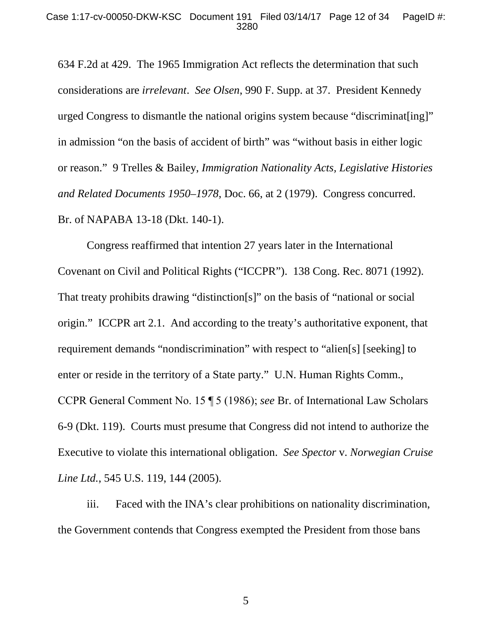634 F.2d at 429. The 1965 Immigration Act reflects the determination that such considerations are *irrelevant*. *See Olsen*, 990 F. Supp. at 37. President Kennedy urged Congress to dismantle the national origins system because "discriminat[ing]" in admission "on the basis of accident of birth" was "without basis in either logic or reason." 9 Trelles & Bailey, *Immigration Nationality Acts, Legislative Histories and Related Documents 1950–1978*, Doc. 66, at 2 (1979). Congress concurred. Br. of NAPABA 13-18 (Dkt. 140-1).

Congress reaffirmed that intention 27 years later in the International Covenant on Civil and Political Rights ("ICCPR"). 138 Cong. Rec. 8071 (1992). That treaty prohibits drawing "distinction[s]" on the basis of "national or social origin." ICCPR art 2.1. And according to the treaty's authoritative exponent, that requirement demands "nondiscrimination" with respect to "alien[s] [seeking] to enter or reside in the territory of a State party." U.N. Human Rights Comm., CCPR General Comment No. 15 ¶ 5 (1986); *see* Br. of International Law Scholars 6-9 (Dkt. 119). Courts must presume that Congress did not intend to authorize the Executive to violate this international obligation. *See Spector* v. *Norwegian Cruise Line Ltd.*, 545 U.S. 119, 144 (2005).

iii. Faced with the INA's clear prohibitions on nationality discrimination, the Government contends that Congress exempted the President from those bans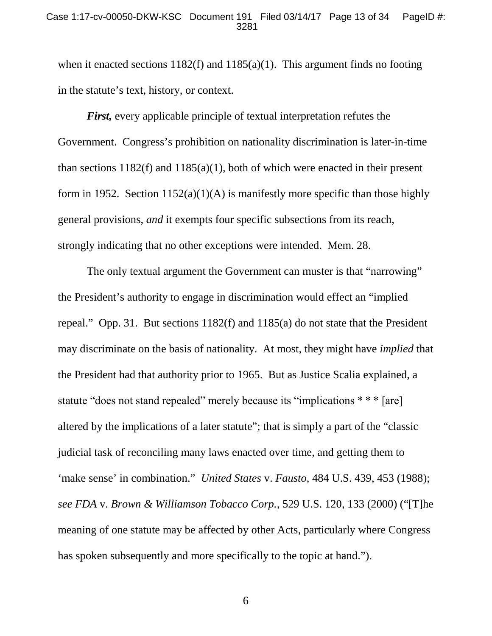### Case 1:17-cv-00050-DKW-KSC Document 191 Filed 03/14/17 Page 13 of 34 PageID #: 3281

when it enacted sections 1182(f) and 1185(a)(1). This argument finds no footing in the statute's text, history, or context.

*First,* every applicable principle of textual interpretation refutes the Government. Congress's prohibition on nationality discrimination is later-in-time than sections  $1182(f)$  and  $1185(a)(1)$ , both of which were enacted in their present form in 1952. Section  $1152(a)(1)(A)$  is manifestly more specific than those highly general provisions, *and* it exempts four specific subsections from its reach, strongly indicating that no other exceptions were intended. Mem. 28.

The only textual argument the Government can muster is that "narrowing" the President's authority to engage in discrimination would effect an "implied repeal." Opp. 31. But sections 1182(f) and 1185(a) do not state that the President may discriminate on the basis of nationality. At most, they might have *implied* that the President had that authority prior to 1965. But as Justice Scalia explained, a statute "does not stand repealed" merely because its "implications \* \* \* [are] altered by the implications of a later statute"; that is simply a part of the "classic judicial task of reconciling many laws enacted over time, and getting them to 'make sense' in combination." *United States* v. *Fausto*, 484 U.S. 439, 453 (1988); *see FDA* v. *Brown & Williamson Tobacco Corp.*, 529 U.S. 120, 133 (2000) ("[T]he meaning of one statute may be affected by other Acts, particularly where Congress has spoken subsequently and more specifically to the topic at hand.").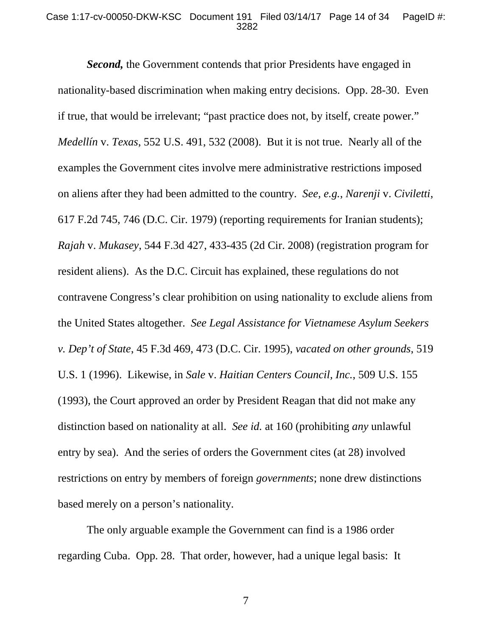### Case 1:17-cv-00050-DKW-KSC Document 191 Filed 03/14/17 Page 14 of 34 PageID #: 3282

*Second,* the Government contends that prior Presidents have engaged in nationality-based discrimination when making entry decisions. Opp. 28-30. Even if true, that would be irrelevant; "past practice does not, by itself, create power." *Medellín* v. *Texas*, 552 U.S. 491, 532 (2008). But it is not true. Nearly all of the examples the Government cites involve mere administrative restrictions imposed on aliens after they had been admitted to the country. *See, e.g.*, *Narenji* v. *Civiletti*, 617 F.2d 745, 746 (D.C. Cir. 1979) (reporting requirements for Iranian students); *Rajah* v. *Mukasey*, 544 F.3d 427, 433-435 (2d Cir. 2008) (registration program for resident aliens). As the D.C. Circuit has explained, these regulations do not contravene Congress's clear prohibition on using nationality to exclude aliens from the United States altogether. *See Legal Assistance for Vietnamese Asylum Seekers v. Dep't of State*, 45 F.3d 469, 473 (D.C. Cir. 1995), *vacated on other grounds*, 519 U.S. 1 (1996). Likewise, in *Sale* v. *Haitian Centers Council, Inc.*, 509 U.S. 155 (1993), the Court approved an order by President Reagan that did not make any distinction based on nationality at all. *See id.* at 160 (prohibiting *any* unlawful entry by sea). And the series of orders the Government cites (at 28) involved restrictions on entry by members of foreign *governments*; none drew distinctions based merely on a person's nationality.

The only arguable example the Government can find is a 1986 order regarding Cuba. Opp. 28. That order, however, had a unique legal basis: It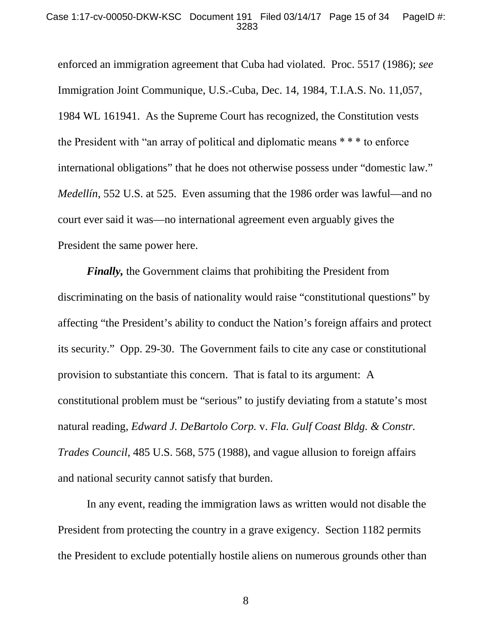#### Case 1:17-cv-00050-DKW-KSC Document 191 Filed 03/14/17 Page 15 of 34 PageID #: 3283

enforced an immigration agreement that Cuba had violated. Proc. 5517 (1986); *see* Immigration Joint Communique, U.S.-Cuba, Dec. 14, 1984, T.I.A.S. No. 11,057, 1984 WL 161941. As the Supreme Court has recognized, the Constitution vests the President with "an array of political and diplomatic means \* \* \* to enforce international obligations" that he does not otherwise possess under "domestic law." *Medellín*, 552 U.S. at 525. Even assuming that the 1986 order was lawful—and no court ever said it was—no international agreement even arguably gives the President the same power here.

*Finally,* the Government claims that prohibiting the President from discriminating on the basis of nationality would raise "constitutional questions" by affecting "the President's ability to conduct the Nation's foreign affairs and protect its security." Opp. 29-30. The Government fails to cite any case or constitutional provision to substantiate this concern. That is fatal to its argument: A constitutional problem must be "serious" to justify deviating from a statute's most natural reading, *Edward J. DeBartolo Corp.* v. *Fla. Gulf Coast Bldg. & Constr. Trades Council*, 485 U.S. 568, 575 (1988), and vague allusion to foreign affairs and national security cannot satisfy that burden.

In any event, reading the immigration laws as written would not disable the President from protecting the country in a grave exigency. Section 1182 permits the President to exclude potentially hostile aliens on numerous grounds other than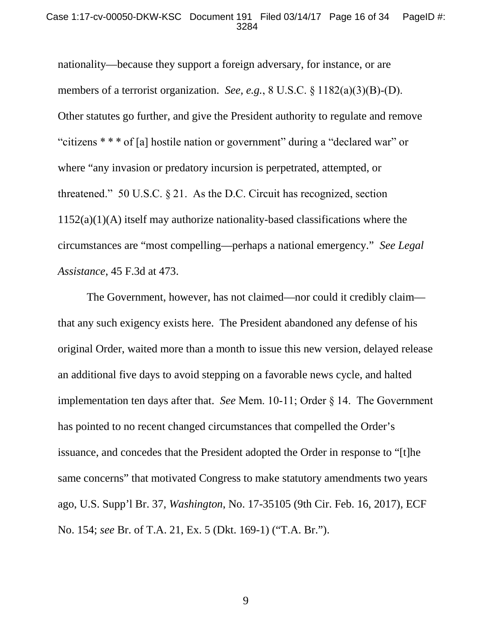nationality—because they support a foreign adversary, for instance, or are members of a terrorist organization. *See, e.g.*, 8 U.S.C. § 1182(a)(3)(B)-(D). Other statutes go further, and give the President authority to regulate and remove "citizens \* \* \* of [a] hostile nation or government" during a "declared war" or where "any invasion or predatory incursion is perpetrated, attempted, or threatened." 50 U.S.C. § 21. As the D.C. Circuit has recognized, section 1152(a)(1)(A) itself may authorize nationality-based classifications where the circumstances are "most compelling—perhaps a national emergency." *See Legal Assistance*, 45 F.3d at 473.

The Government, however, has not claimed—nor could it credibly claim that any such exigency exists here. The President abandoned any defense of his original Order, waited more than a month to issue this new version, delayed release an additional five days to avoid stepping on a favorable news cycle, and halted implementation ten days after that. *See* Mem. 10-11; Order § 14. The Government has pointed to no recent changed circumstances that compelled the Order's issuance, and concedes that the President adopted the Order in response to "[t]he same concerns" that motivated Congress to make statutory amendments two years ago, U.S. Supp'l Br. 37, *Washington*, No. 17-35105 (9th Cir. Feb. 16, 2017), ECF No. 154; *see* Br. of T.A. 21, Ex. 5 (Dkt. 169-1) ("T.A. Br.").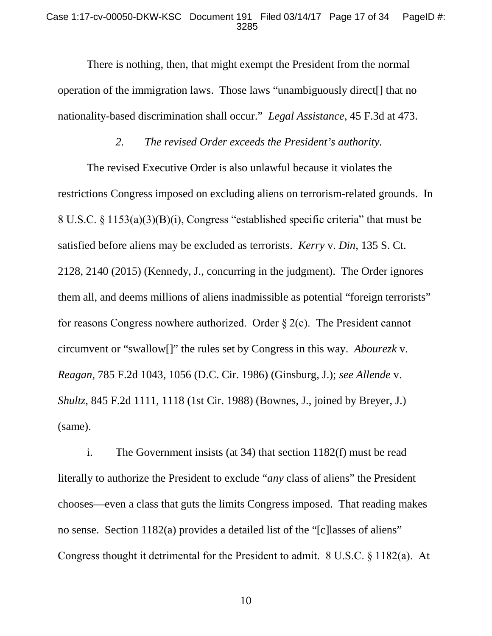#### Case 1:17-cv-00050-DKW-KSC Document 191 Filed 03/14/17 Page 17 of 34 PageID #: 3285

There is nothing, then, that might exempt the President from the normal operation of the immigration laws. Those laws "unambiguously direct[] that no nationality-based discrimination shall occur." *Legal Assistance*, 45 F.3d at 473.

### *2. The revised Order exceeds the President's authority.*

The revised Executive Order is also unlawful because it violates the restrictions Congress imposed on excluding aliens on terrorism-related grounds. In 8 U.S.C. § 1153(a)(3)(B)(i), Congress "established specific criteria" that must be satisfied before aliens may be excluded as terrorists. *Kerry* v. *Din*, 135 S. Ct. 2128, 2140 (2015) (Kennedy, J., concurring in the judgment). The Order ignores them all, and deems millions of aliens inadmissible as potential "foreign terrorists" for reasons Congress nowhere authorized. Order  $\S 2(c)$ . The President cannot circumvent or "swallow[]" the rules set by Congress in this way. *Abourezk* v. *Reagan*, 785 F.2d 1043, 1056 (D.C. Cir. 1986) (Ginsburg, J.); *see Allende* v. *Shultz*, 845 F.2d 1111, 1118 (1st Cir. 1988) (Bownes, J., joined by Breyer, J.) (same).

i. The Government insists (at 34) that section 1182(f) must be read literally to authorize the President to exclude "*any* class of aliens" the President chooses—even a class that guts the limits Congress imposed. That reading makes no sense. Section 1182(a) provides a detailed list of the "[c]lasses of aliens" Congress thought it detrimental for the President to admit. 8 U.S.C. § 1182(a). At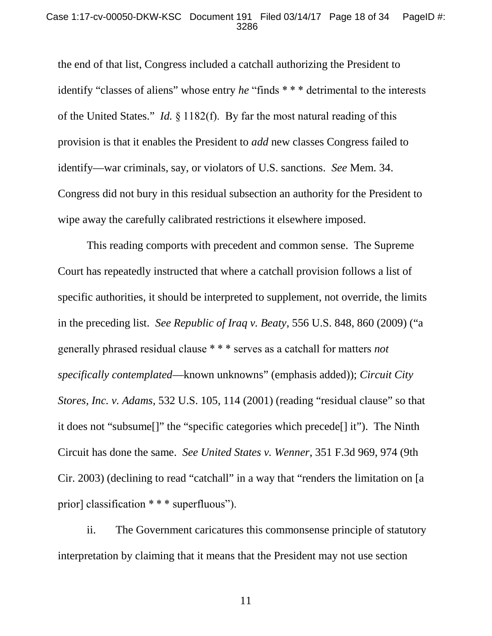#### Case 1:17-cv-00050-DKW-KSC Document 191 Filed 03/14/17 Page 18 of 34 PageID #: 3286

the end of that list, Congress included a catchall authorizing the President to identify "classes of aliens" whose entry *he* "finds \* \* \* detrimental to the interests of the United States." *Id.* § 1182(f). By far the most natural reading of this provision is that it enables the President to *add* new classes Congress failed to identify—war criminals, say, or violators of U.S. sanctions. *See* Mem. 34. Congress did not bury in this residual subsection an authority for the President to wipe away the carefully calibrated restrictions it elsewhere imposed.

This reading comports with precedent and common sense. The Supreme Court has repeatedly instructed that where a catchall provision follows a list of specific authorities, it should be interpreted to supplement, not override, the limits in the preceding list. *See Republic of Iraq v. Beaty*, 556 U.S. 848, 860 (2009) ("a generally phrased residual clause \* \* \* serves as a catchall for matters *not specifically contemplated*—known unknowns" (emphasis added)); *Circuit City Stores, Inc. v. Adams*, 532 U.S. 105, 114 (2001) (reading "residual clause" so that it does not "subsume[]" the "specific categories which precede[] it"). The Ninth Circuit has done the same. *See United States v. Wenner*, 351 F.3d 969, 974 (9th Cir. 2003) (declining to read "catchall" in a way that "renders the limitation on [a prior] classification \* \* \* superfluous").

ii. The Government caricatures this commonsense principle of statutory interpretation by claiming that it means that the President may not use section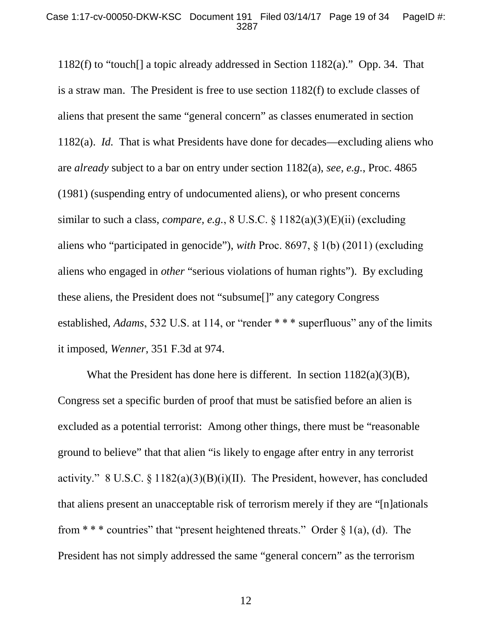1182(f) to "touch[] a topic already addressed in Section 1182(a)." Opp. 34. That is a straw man. The President is free to use section 1182(f) to exclude classes of aliens that present the same "general concern" as classes enumerated in section 1182(a). *Id.* That is what Presidents have done for decades—excluding aliens who are *already* subject to a bar on entry under section 1182(a), *see, e.g.*, Proc. 4865 (1981) (suspending entry of undocumented aliens), or who present concerns similar to such a class, *compare, e.g.*, 8 U.S.C. § 1182(a)(3)(E)(ii) (excluding aliens who "participated in genocide"), *with* Proc. 8697, § 1(b) (2011) (excluding aliens who engaged in *other* "serious violations of human rights"). By excluding these aliens, the President does not "subsume[]" any category Congress established, *Adams*, 532 U.S. at 114, or "render \* \* \* superfluous" any of the limits it imposed, *Wenner*, 351 F.3d at 974.

What the President has done here is different. In section  $1182(a)(3)(B)$ , Congress set a specific burden of proof that must be satisfied before an alien is excluded as a potential terrorist: Among other things, there must be "reasonable ground to believe" that that alien "is likely to engage after entry in any terrorist activity." 8 U.S.C.  $\S$  1182(a)(3)(B)(i)(II). The President, however, has concluded that aliens present an unacceptable risk of terrorism merely if they are "[n]ationals from \* \* \* countries" that "present heightened threats." Order  $\S$  1(a), (d). The President has not simply addressed the same "general concern" as the terrorism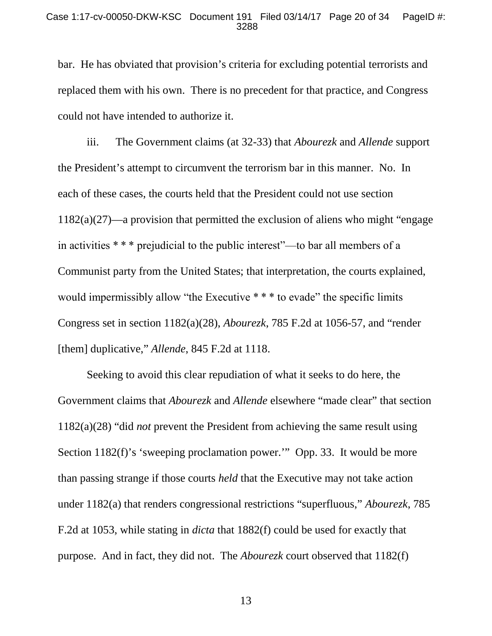bar. He has obviated that provision's criteria for excluding potential terrorists and replaced them with his own. There is no precedent for that practice, and Congress could not have intended to authorize it.

iii. The Government claims (at 32-33) that *Abourezk* and *Allende* support the President's attempt to circumvent the terrorism bar in this manner. No. In each of these cases, the courts held that the President could not use section 1182(a)(27)—a provision that permitted the exclusion of aliens who might "engage in activities \* \* \* prejudicial to the public interest"—to bar all members of a Communist party from the United States; that interpretation, the courts explained, would impermissibly allow "the Executive \* \* \* to evade" the specific limits Congress set in section 1182(a)(28), *Abourezk*, 785 F.2d at 1056-57, and "render [them] duplicative," *Allende*, 845 F.2d at 1118.

Seeking to avoid this clear repudiation of what it seeks to do here, the Government claims that *Abourezk* and *Allende* elsewhere "made clear" that section 1182(a)(28) "did *not* prevent the President from achieving the same result using Section 1182(f)'s 'sweeping proclamation power.'" Opp. 33. It would be more than passing strange if those courts *held* that the Executive may not take action under 1182(a) that renders congressional restrictions "superfluous," *Abourezk*, 785 F.2d at 1053, while stating in *dicta* that 1882(f) could be used for exactly that purpose. And in fact, they did not. The *Abourezk* court observed that 1182(f)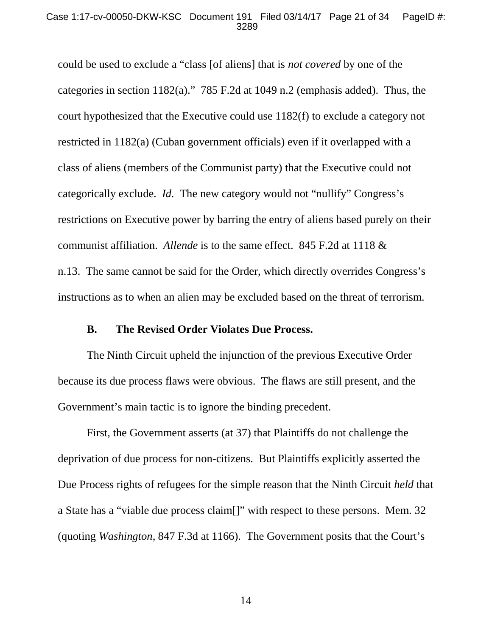#### Case 1:17-cv-00050-DKW-KSC Document 191 Filed 03/14/17 Page 21 of 34 PageID #: 3289

could be used to exclude a "class [of aliens] that is *not covered* by one of the categories in section 1182(a)." 785 F.2d at 1049 n.2 (emphasis added). Thus, the court hypothesized that the Executive could use 1182(f) to exclude a category not restricted in 1182(a) (Cuban government officials) even if it overlapped with a class of aliens (members of the Communist party) that the Executive could not categorically exclude. *Id.* The new category would not "nullify" Congress's restrictions on Executive power by barring the entry of aliens based purely on their communist affiliation. *Allende* is to the same effect. 845 F.2d at 1118 & n.13. The same cannot be said for the Order, which directly overrides Congress's instructions as to when an alien may be excluded based on the threat of terrorism.

### **B. The Revised Order Violates Due Process.**

The Ninth Circuit upheld the injunction of the previous Executive Order because its due process flaws were obvious. The flaws are still present, and the Government's main tactic is to ignore the binding precedent.

First, the Government asserts (at 37) that Plaintiffs do not challenge the deprivation of due process for non-citizens. But Plaintiffs explicitly asserted the Due Process rights of refugees for the simple reason that the Ninth Circuit *held* that a State has a "viable due process claim[]" with respect to these persons. Mem. 32 (quoting *Washington*, 847 F.3d at 1166). The Government posits that the Court's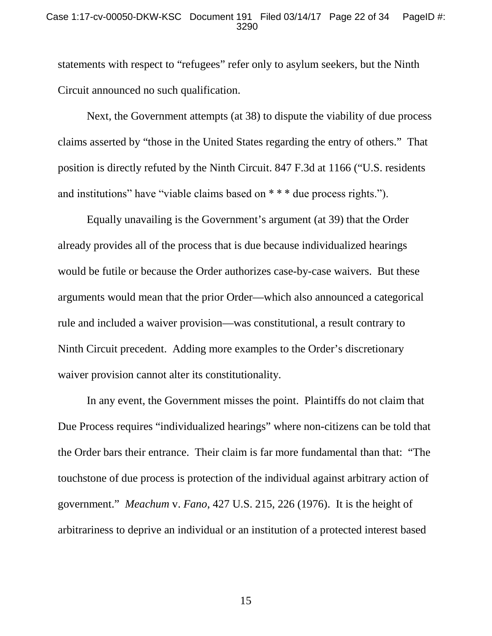### Case 1:17-cv-00050-DKW-KSC Document 191 Filed 03/14/17 Page 22 of 34 PageID #: 3290

statements with respect to "refugees" refer only to asylum seekers, but the Ninth Circuit announced no such qualification.

Next, the Government attempts (at 38) to dispute the viability of due process claims asserted by "those in the United States regarding the entry of others." That position is directly refuted by the Ninth Circuit. 847 F.3d at 1166 ("U.S. residents and institutions" have "viable claims based on \* \* \* due process rights.").

Equally unavailing is the Government's argument (at 39) that the Order already provides all of the process that is due because individualized hearings would be futile or because the Order authorizes case-by-case waivers. But these arguments would mean that the prior Order—which also announced a categorical rule and included a waiver provision—was constitutional, a result contrary to Ninth Circuit precedent. Adding more examples to the Order's discretionary waiver provision cannot alter its constitutionality.

In any event, the Government misses the point. Plaintiffs do not claim that Due Process requires "individualized hearings" where non-citizens can be told that the Order bars their entrance. Their claim is far more fundamental than that: "The touchstone of due process is protection of the individual against arbitrary action of government." *Meachum* v. *Fano*, 427 U.S. 215, 226 (1976). It is the height of arbitrariness to deprive an individual or an institution of a protected interest based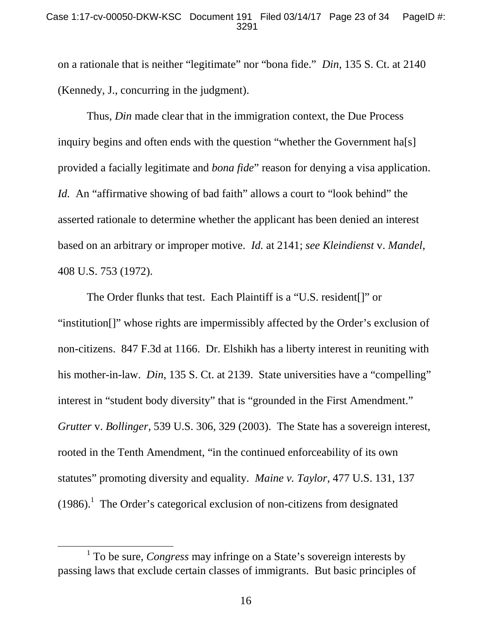on a rationale that is neither "legitimate" nor "bona fide." *Din*, 135 S. Ct. at 2140 (Kennedy, J., concurring in the judgment).

Thus, *Din* made clear that in the immigration context, the Due Process inquiry begins and often ends with the question "whether the Government ha[s] provided a facially legitimate and *bona fide*" reason for denying a visa application. *Id.* An "affirmative showing of bad faith" allows a court to "look behind" the asserted rationale to determine whether the applicant has been denied an interest based on an arbitrary or improper motive. *Id.* at 2141; *see Kleindienst* v. *Mandel*, 408 U.S. 753 (1972).

The Order flunks that test. Each Plaintiff is a "U.S. resident[]" or "institution[]" whose rights are impermissibly affected by the Order's exclusion of non-citizens. 847 F.3d at 1166. Dr. Elshikh has a liberty interest in reuniting with his mother-in-law. *Din*, 135 S. Ct. at 2139. State universities have a "compelling" interest in "student body diversity" that is "grounded in the First Amendment." *Grutter* v. *Bollinger*, 539 U.S. 306, 329 (2003). The State has a sovereign interest, rooted in the Tenth Amendment, "in the continued enforceability of its own statutes" promoting diversity and equality. *Maine v. Taylor*, 477 U.S. 131, 137  $(1986).$ <sup>1</sup> The Order's categorical exclusion of non-citizens from designated

<sup>&</sup>lt;sup>1</sup> To be sure, *Congress* may infringe on a State's sovereign interests by passing laws that exclude certain classes of immigrants. But basic principles of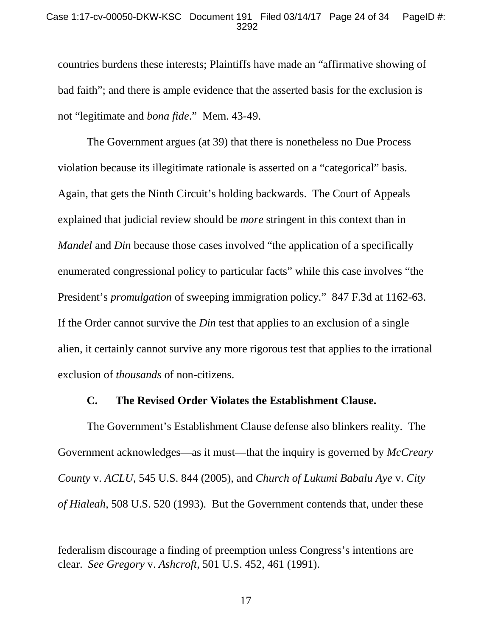### Case 1:17-cv-00050-DKW-KSC Document 191 Filed 03/14/17 Page 24 of 34 PageID #: 3292

countries burdens these interests; Plaintiffs have made an "affirmative showing of bad faith"; and there is ample evidence that the asserted basis for the exclusion is not "legitimate and *bona fide*." Mem. 43-49.

The Government argues (at 39) that there is nonetheless no Due Process violation because its illegitimate rationale is asserted on a "categorical" basis. Again, that gets the Ninth Circuit's holding backwards. The Court of Appeals explained that judicial review should be *more* stringent in this context than in *Mandel* and *Din* because those cases involved "the application of a specifically enumerated congressional policy to particular facts" while this case involves "the President's *promulgation* of sweeping immigration policy." 847 F.3d at 1162-63. If the Order cannot survive the *Din* test that applies to an exclusion of a single alien, it certainly cannot survive any more rigorous test that applies to the irrational exclusion of *thousands* of non-citizens.

### **C. The Revised Order Violates the Establishment Clause.**

The Government's Establishment Clause defense also blinkers reality. The Government acknowledges—as it must—that the inquiry is governed by *McCreary County* v. *ACLU*, 545 U.S. 844 (2005), and *Church of Lukumi Babalu Aye* v. *City of Hialeah*, 508 U.S. 520 (1993). But the Government contends that, under these

federalism discourage a finding of preemption unless Congress's intentions are clear. *See Gregory* v. *Ashcroft*, 501 U.S. 452, 461 (1991).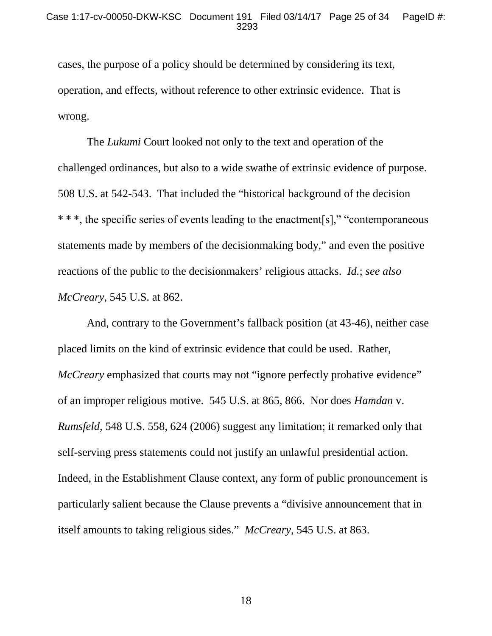cases, the purpose of a policy should be determined by considering its text, operation, and effects, without reference to other extrinsic evidence. That is wrong.

The *Lukumi* Court looked not only to the text and operation of the challenged ordinances, but also to a wide swathe of extrinsic evidence of purpose. 508 U.S. at 542-543. That included the "historical background of the decision \* \* \*, the specific series of events leading to the enactment[s]," "contemporaneous statements made by members of the decisionmaking body," and even the positive reactions of the public to the decisionmakers' religious attacks. *Id.*; *see also McCreary*, 545 U.S. at 862.

And, contrary to the Government's fallback position (at 43-46), neither case placed limits on the kind of extrinsic evidence that could be used. Rather, *McCreary* emphasized that courts may not "ignore perfectly probative evidence" of an improper religious motive. 545 U.S. at 865, 866. Nor does *Hamdan* v. *Rumsfeld*, 548 U.S. 558, 624 (2006) suggest any limitation; it remarked only that self-serving press statements could not justify an unlawful presidential action. Indeed, in the Establishment Clause context, any form of public pronouncement is particularly salient because the Clause prevents a "divisive announcement that in itself amounts to taking religious sides." *McCreary*, 545 U.S. at 863.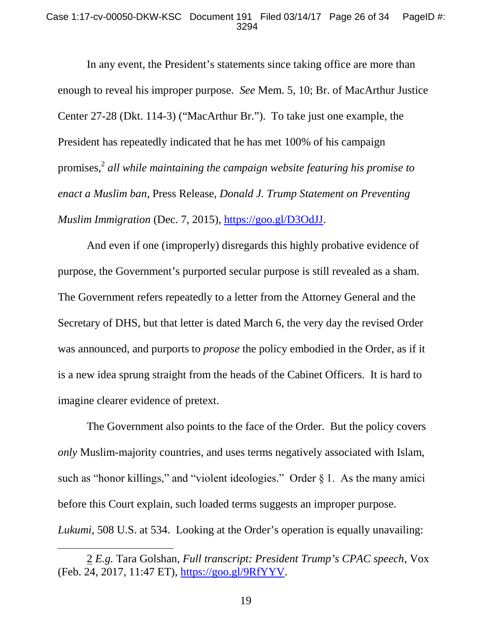#### Case 1:17-cv-00050-DKW-KSC Document 191 Filed 03/14/17 Page 26 of 34 PageID #: 3294

In any event, the President's statements since taking office are more than enough to reveal his improper purpose. *See* Mem. 5, 10; Br. of MacArthur Justice Center 27-28 (Dkt. 114-3) ("MacArthur Br."). To take just one example, the President has repeatedly indicated that he has met 100% of his campaign promises,<sup>2</sup> all while maintaining the campaign website featuring his promise to *enact a Muslim ban*, Press Release, *Donald J. Trump Statement on Preventing Muslim Immigration* (Dec. 7, 2015), https://goo.gl/D3OdJJ.

And even if one (improperly) disregards this highly probative evidence of purpose, the Government's purported secular purpose is still revealed as a sham. The Government refers repeatedly to a letter from the Attorney General and the Secretary of DHS, but that letter is dated March 6, the very day the revised Order was announced, and purports to *propose* the policy embodied in the Order, as if it is a new idea sprung straight from the heads of the Cabinet Officers. It is hard to imagine clearer evidence of pretext.

The Government also points to the face of the Order. But the policy covers *only* Muslim-majority countries, and uses terms negatively associated with Islam, such as "honor killings," and "violent ideologies." Order  $\S 1$ . As the many amici before this Court explain, such loaded terms suggests an improper purpose. *Lukumi*, 508 U.S. at 534. Looking at the Order's operation is equally unavailing:

<sup>2</sup> *E.g.* Tara Golshan, *Full transcript: President Trump's CPAC speech*, Vox (Feb. 24, 2017, 11:47 ET), https://goo.gl/9RfYYV.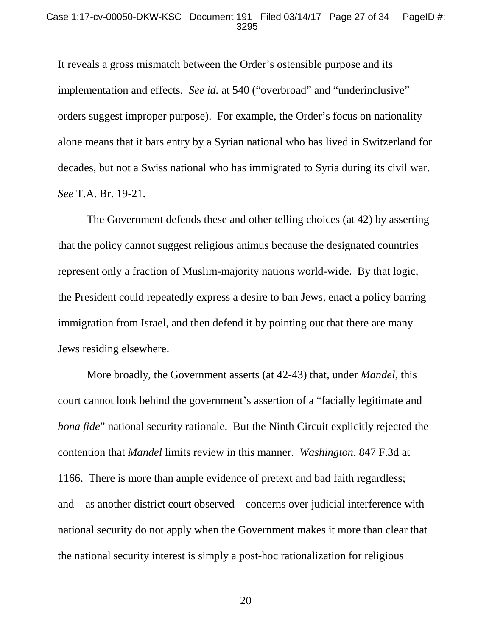It reveals a gross mismatch between the Order's ostensible purpose and its implementation and effects. *See id.* at 540 ("overbroad" and "underinclusive" orders suggest improper purpose). For example, the Order's focus on nationality alone means that it bars entry by a Syrian national who has lived in Switzerland for decades, but not a Swiss national who has immigrated to Syria during its civil war. *See* T.A. Br. 19-21.

The Government defends these and other telling choices (at 42) by asserting that the policy cannot suggest religious animus because the designated countries represent only a fraction of Muslim-majority nations world-wide. By that logic, the President could repeatedly express a desire to ban Jews, enact a policy barring immigration from Israel, and then defend it by pointing out that there are many Jews residing elsewhere.

More broadly, the Government asserts (at 42-43) that, under *Mandel*, this court cannot look behind the government's assertion of a "facially legitimate and *bona fide*" national security rationale. But the Ninth Circuit explicitly rejected the contention that *Mandel* limits review in this manner. *Washington*, 847 F.3d at 1166. There is more than ample evidence of pretext and bad faith regardless; and—as another district court observed—concerns over judicial interference with national security do not apply when the Government makes it more than clear that the national security interest is simply a post-hoc rationalization for religious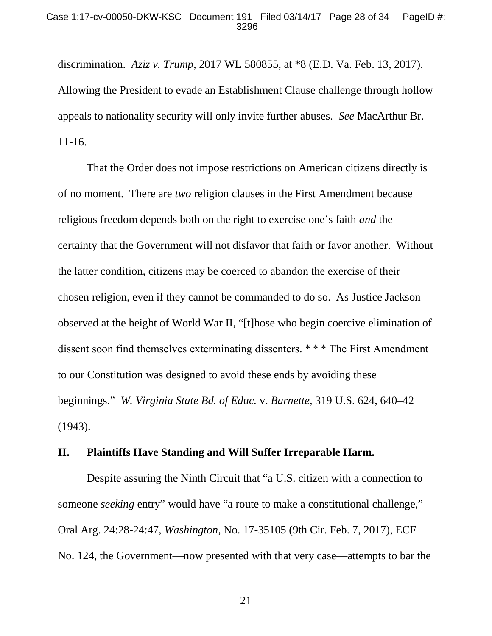discrimination. *Aziz v. Trump*, 2017 WL 580855, at \*8 (E.D. Va. Feb. 13, 2017). Allowing the President to evade an Establishment Clause challenge through hollow appeals to nationality security will only invite further abuses. *See* MacArthur Br. 11-16.

That the Order does not impose restrictions on American citizens directly is of no moment. There are *two* religion clauses in the First Amendment because religious freedom depends both on the right to exercise one's faith *and* the certainty that the Government will not disfavor that faith or favor another. Without the latter condition, citizens may be coerced to abandon the exercise of their chosen religion, even if they cannot be commanded to do so. As Justice Jackson observed at the height of World War II, "[t]hose who begin coercive elimination of dissent soon find themselves exterminating dissenters. \* \* \* The First Amendment to our Constitution was designed to avoid these ends by avoiding these beginnings." *W. Virginia State Bd. of Educ.* v. *Barnette*, 319 U.S. 624, 640–42 (1943).

### **II. Plaintiffs Have Standing and Will Suffer Irreparable Harm.**

Despite assuring the Ninth Circuit that "a U.S. citizen with a connection to someone *seeking* entry" would have "a route to make a constitutional challenge," Oral Arg. 24:28-24:47, *Washington*, No. 17-35105 (9th Cir. Feb. 7, 2017), ECF No. 124, the Government—now presented with that very case—attempts to bar the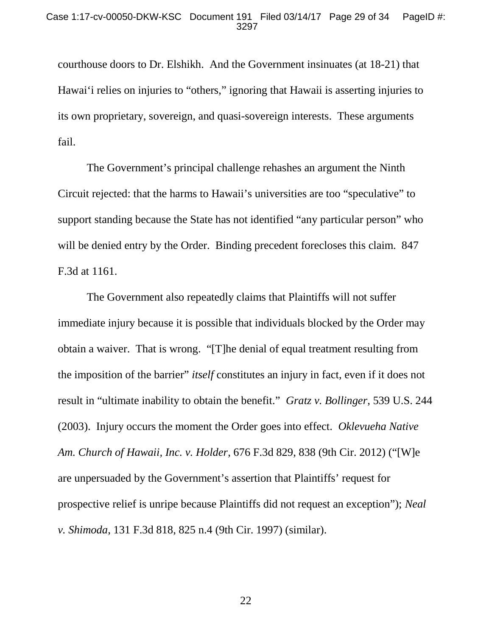courthouse doors to Dr. Elshikh. And the Government insinuates (at 18-21) that Hawai'i relies on injuries to "others," ignoring that Hawaii is asserting injuries to its own proprietary, sovereign, and quasi-sovereign interests. These arguments fail.

The Government's principal challenge rehashes an argument the Ninth Circuit rejected: that the harms to Hawaii's universities are too "speculative" to support standing because the State has not identified "any particular person" who will be denied entry by the Order. Binding precedent forecloses this claim. 847 F.3d at 1161.

The Government also repeatedly claims that Plaintiffs will not suffer immediate injury because it is possible that individuals blocked by the Order may obtain a waiver. That is wrong. "[T]he denial of equal treatment resulting from the imposition of the barrier" *itself* constitutes an injury in fact, even if it does not result in "ultimate inability to obtain the benefit." *Gratz v. Bollinger*, 539 U.S. 244 (2003). Injury occurs the moment the Order goes into effect. *Oklevueha Native Am. Church of Hawaii, Inc. v. Holder*, 676 F.3d 829, 838 (9th Cir. 2012) ("[W]e are unpersuaded by the Government's assertion that Plaintiffs' request for prospective relief is unripe because Plaintiffs did not request an exception"); *Neal v. Shimoda*, 131 F.3d 818, 825 n.4 (9th Cir. 1997) (similar).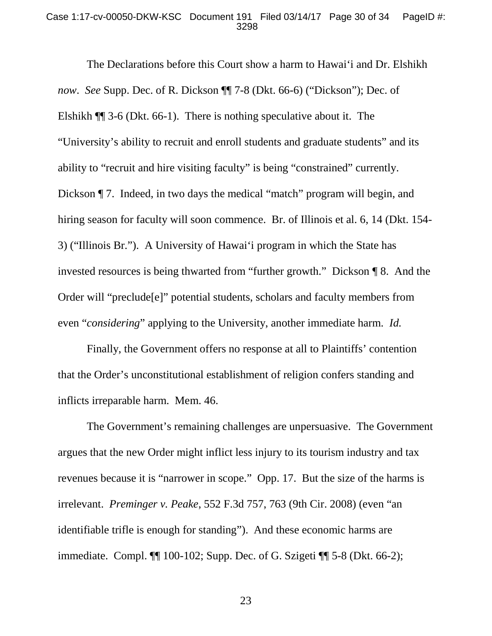#### Case 1:17-cv-00050-DKW-KSC Document 191 Filed 03/14/17 Page 30 of 34 PageID #: 3298

The Declarations before this Court show a harm to Hawai'i and Dr. Elshikh *now*. *See* Supp. Dec. of R. Dickson ¶¶ 7-8 (Dkt. 66-6) ("Dickson"); Dec. of Elshikh ¶¶ 3-6 (Dkt. 66-1). There is nothing speculative about it. The "University's ability to recruit and enroll students and graduate students" and its ability to "recruit and hire visiting faculty" is being "constrained" currently. Dickson  $\P$  7. Indeed, in two days the medical "match" program will begin, and hiring season for faculty will soon commence. Br. of Illinois et al. 6, 14 (Dkt. 154- 3) ("Illinois Br."). A University of Hawai'i program in which the State has invested resources is being thwarted from "further growth." Dickson ¶ 8. And the Order will "preclude[e]" potential students, scholars and faculty members from even "*considering*" applying to the University, another immediate harm. *Id.*

Finally, the Government offers no response at all to Plaintiffs' contention that the Order's unconstitutional establishment of religion confers standing and inflicts irreparable harm. Mem. 46.

The Government's remaining challenges are unpersuasive. The Government argues that the new Order might inflict less injury to its tourism industry and tax revenues because it is "narrower in scope." Opp. 17. But the size of the harms is irrelevant. *Preminger v. Peake*, 552 F.3d 757, 763 (9th Cir. 2008) (even "an identifiable trifle is enough for standing"). And these economic harms are immediate. Compl. ¶¶ 100-102; Supp. Dec. of G. Szigeti ¶¶ 5-8 (Dkt. 66-2);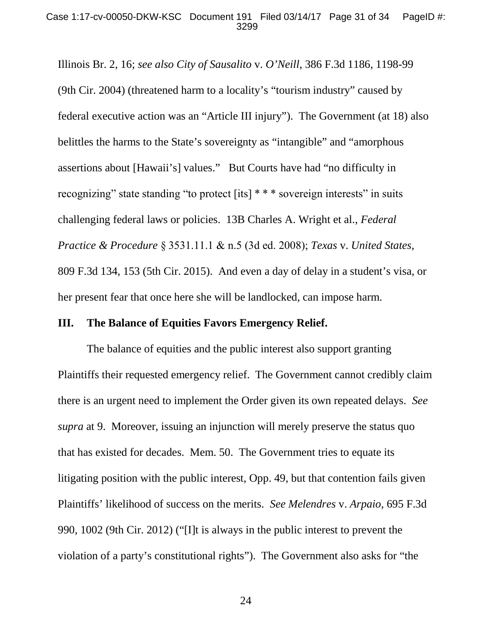Illinois Br. 2, 16; *see also City of Sausalito* v. *O'Neill*, 386 F.3d 1186, 1198-99 (9th Cir. 2004) (threatened harm to a locality's "tourism industry" caused by federal executive action was an "Article III injury"). The Government (at 18) also belittles the harms to the State's sovereignty as "intangible" and "amorphous assertions about [Hawaii's] values." But Courts have had "no difficulty in recognizing" state standing "to protect [its] \* \* \* sovereign interests" in suits challenging federal laws or policies. 13B Charles A. Wright et al., *Federal Practice & Procedure* § 3531.11.1 & n.5 (3d ed. 2008); *Texas* v. *United States*, 809 F.3d 134, 153 (5th Cir. 2015). And even a day of delay in a student's visa, or her present fear that once here she will be landlocked, can impose harm.

# **III. The Balance of Equities Favors Emergency Relief.**

The balance of equities and the public interest also support granting Plaintiffs their requested emergency relief. The Government cannot credibly claim there is an urgent need to implement the Order given its own repeated delays. *See supra* at 9. Moreover, issuing an injunction will merely preserve the status quo that has existed for decades. Mem. 50. The Government tries to equate its litigating position with the public interest, Opp. 49, but that contention fails given Plaintiffs' likelihood of success on the merits. *See Melendres* v. *Arpaio*, 695 F.3d 990, 1002 (9th Cir. 2012) ("[I]t is always in the public interest to prevent the violation of a party's constitutional rights"). The Government also asks for "the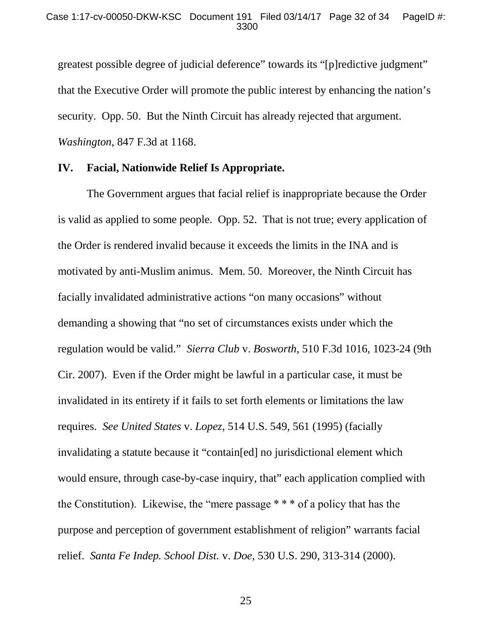greatest possible degree of judicial deference" towards its "[p]redictive judgment" that the Executive Order will promote the public interest by enhancing the nation's security. Opp. 50. But the Ninth Circuit has already rejected that argument. *Washington*, 847 F.3d at 1168.

### **IV. Facial, Nationwide Relief Is Appropriate.**

The Government argues that facial relief is inappropriate because the Order is valid as applied to some people. Opp. 52. That is not true; every application of the Order is rendered invalid because it exceeds the limits in the INA and is motivated by anti-Muslim animus. Mem. 50. Moreover, the Ninth Circuit has facially invalidated administrative actions "on many occasions" without demanding a showing that "no set of circumstances exists under which the regulation would be valid." *Sierra Club* v. *Bosworth*, 510 F.3d 1016, 1023-24 (9th Cir. 2007). Even if the Order might be lawful in a particular case, it must be invalidated in its entirety if it fails to set forth elements or limitations the law requires. *See United States* v. *Lopez*, 514 U.S. 549, 561 (1995) (facially invalidating a statute because it "contain[ed] no jurisdictional element which would ensure, through case-by-case inquiry, that" each application complied with the Constitution). Likewise, the "mere passage \* \* \* of a policy that has the purpose and perception of government establishment of religion" warrants facial relief. *Santa Fe Indep. School Dist.* v. *Doe*, 530 U.S. 290, 313-314 (2000).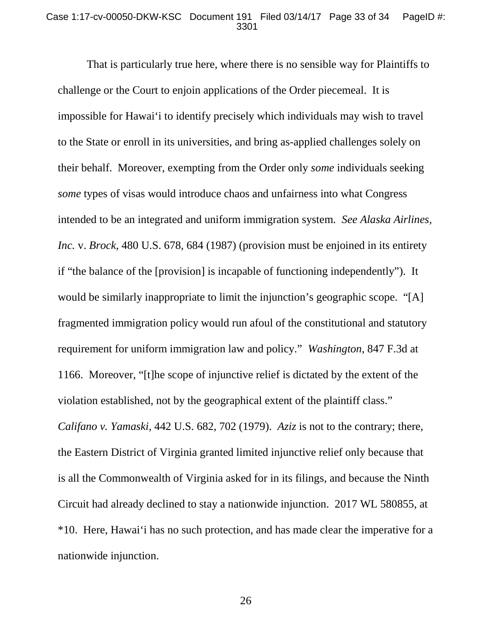### Case 1:17-cv-00050-DKW-KSC Document 191 Filed 03/14/17 Page 33 of 34 PageID #: 3301

That is particularly true here, where there is no sensible way for Plaintiffs to challenge or the Court to enjoin applications of the Order piecemeal. It is impossible for Hawai'i to identify precisely which individuals may wish to travel to the State or enroll in its universities, and bring as-applied challenges solely on their behalf. Moreover, exempting from the Order only *some* individuals seeking *some* types of visas would introduce chaos and unfairness into what Congress intended to be an integrated and uniform immigration system. *See Alaska Airlines, Inc.* v. *Brock*, 480 U.S. 678, 684 (1987) (provision must be enjoined in its entirety if "the balance of the [provision] is incapable of functioning independently"). It would be similarly inappropriate to limit the injunction's geographic scope. "[A] fragmented immigration policy would run afoul of the constitutional and statutory requirement for uniform immigration law and policy." *Washington*, 847 F.3d at 1166. Moreover, "[t]he scope of injunctive relief is dictated by the extent of the violation established, not by the geographical extent of the plaintiff class." *Califano v. Yamaski*, 442 U.S. 682, 702 (1979). *Aziz* is not to the contrary; there, the Eastern District of Virginia granted limited injunctive relief only because that is all the Commonwealth of Virginia asked for in its filings, and because the Ninth Circuit had already declined to stay a nationwide injunction. 2017 WL 580855, at \*10. Here, Hawai'i has no such protection, and has made clear the imperative for a nationwide injunction.